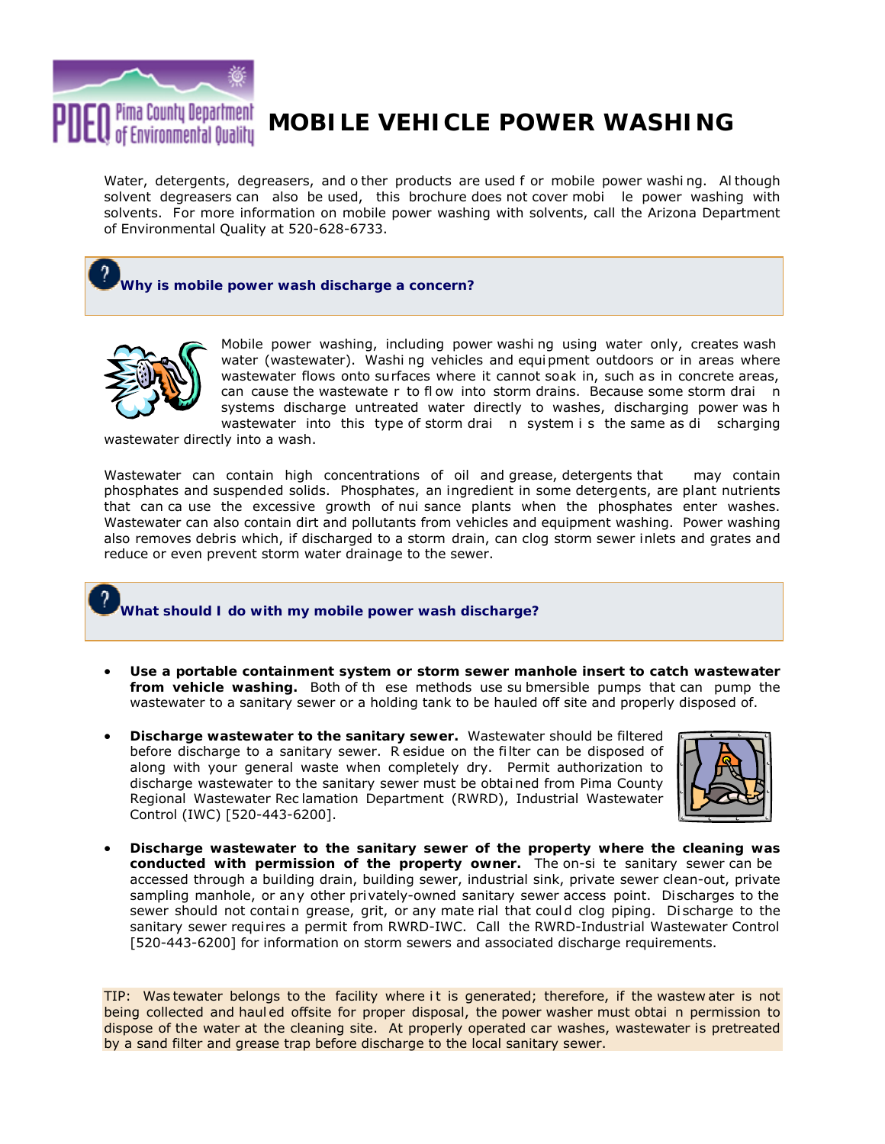

# **MOBILE VEHICLE POWER WASHING**

Water, detergents, degreasers, and o ther products are used f or mobile power washi ng. Al though solvent degreasers can also be used, this brochure does not cover mobi le power washing with solvents. For more information on mobile power washing with solvents, call the Arizona Department of Environmental Quality at 520-628-6733.

## **Why is mobile power wash discharge a concern?**



Mobile power washing, including power washi ng using water only, creates wash water (wastewater). Washi ng vehicles and equi pment outdoors or in areas where wastewater flows onto surfaces where it cannot soak in, such as in concrete areas, can cause the wastewate r to flow into storm drains. Because some storm drai n systems discharge untreated water directly to washes, discharging power was h wastewater into this type of storm drain system is the same as di scharging

wastewater directly into a wash.

Wastewater can contain high concentrations of oil and grease, detergents that may contain phosphates and suspended solids. Phosphates, an ingredient in some detergents, are plant nutrients that can ca use the excessive growth of nui sance plants when the phosphates enter washes. Wastewater can also contain dirt and pollutants from vehicles and equipment washing. Power washing also removes debris which, if discharged to a storm drain, can clog storm sewer inlets and grates and reduce or even prevent storm water drainage to the sewer.

#### **What should I do with my mobile power wash discharge?**

- **Use a portable containment system or storm sewer manhole insert to catch wastewater from vehicle washing.** Both of th ese methods use su bmersible pumps that can pump the wastewater to a sanitary sewer or a holding tank to be hauled off site and properly disposed of.
- **Discharge wastewater to the sanitary sewer.** Wastewater should be filtered before discharge to a sanitary sewer. R esidue on the filter can be disposed of along with your general waste when completely dry. Permit authorization to discharge wastewater to the sanitary sewer must be obtai ned from Pima County Regional Wastewater Rec lamation Department (RWRD), Industrial Wastewater Control (IWC) [520-443-6200].



• **Discharge wastewater to the sanitary sewer of the property where the cleaning was conducted with permission of the property owner.** The on-si te sanitary sewer can be accessed through a building drain, building sewer, industrial sink, private sewer clean-out, private sampling manhole, or any other privately-owned sanitary sewer access point. Discharges to the sewer should not contain grease, grit, or any mate rial that could clog piping. Discharge to the sanitary sewer requires a permit from RWRD-IWC. Call the RWRD-Industrial Wastewater Control [520-443-6200] for information on storm sewers and associated discharge requirements.

TIP: Was tewater belongs to the facility where it is generated; therefore, if the wastew ater is not being collected and haul ed offsite for proper disposal, the power washer must obtai n permission to dispose of the water at the cleaning site. At properly operated car washes, wastewater is pretreated by a sand filter and grease trap before discharge to the local sanitary sewer.